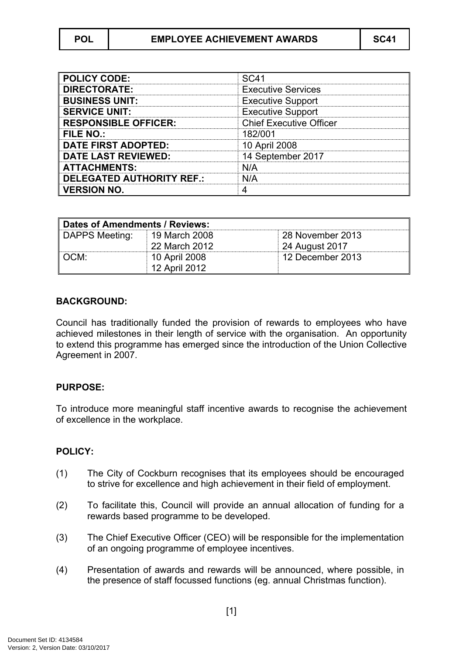| <b>POLICY CODE:</b>              | SC <sub>41</sub>               |
|----------------------------------|--------------------------------|
| <b>DIRECTORATE:</b>              | <b>Executive Services</b>      |
| <b>BUSINESS UNIT:</b>            | <b>Executive Support</b>       |
| <b>SERVICE UNIT:</b>             | <b>Executive Support</b>       |
| <b>RESPONSIBLE OFFICER:</b>      | <b>Chief Executive Officer</b> |
| <b>FILE NO.:</b>                 | 182/001                        |
| <b>DATE FIRST ADOPTED:</b>       | 10 April 2008                  |
| <b>DATE LAST REVIEWED:</b>       | 14 September 2017              |
| <b>ATTACHMENTS:</b>              | N/A                            |
| <b>DELEGATED AUTHORITY REF.:</b> | N/A                            |
| <b>VERSION NO.</b>               |                                |

| Dates of Amendments / Reviews: |               |                  |
|--------------------------------|---------------|------------------|
| DAPPS Meeting:                 | 19 March 2008 | 28 November 2013 |
|                                | 22 March 2012 | 24 August 2017   |
| $\parallel$ OCM:               | 10 April 2008 | 12 December 2013 |
|                                | 12 April 2012 |                  |

## **BACKGROUND:**

Council has traditionally funded the provision of rewards to employees who have achieved milestones in their length of service with the organisation. An opportunity to extend this programme has emerged since the introduction of the Union Collective Agreement in 2007.

## **PURPOSE:**

To introduce more meaningful staff incentive awards to recognise the achievement of excellence in the workplace.

## **POLICY:**

- (1) The City of Cockburn recognises that its employees should be encouraged to strive for excellence and high achievement in their field of employment.
- (2) To facilitate this, Council will provide an annual allocation of funding for a rewards based programme to be developed.
- (3) The Chief Executive Officer (CEO) will be responsible for the implementation of an ongoing programme of employee incentives.
- (4) Presentation of awards and rewards will be announced, where possible, in the presence of staff focussed functions (eg. annual Christmas function).